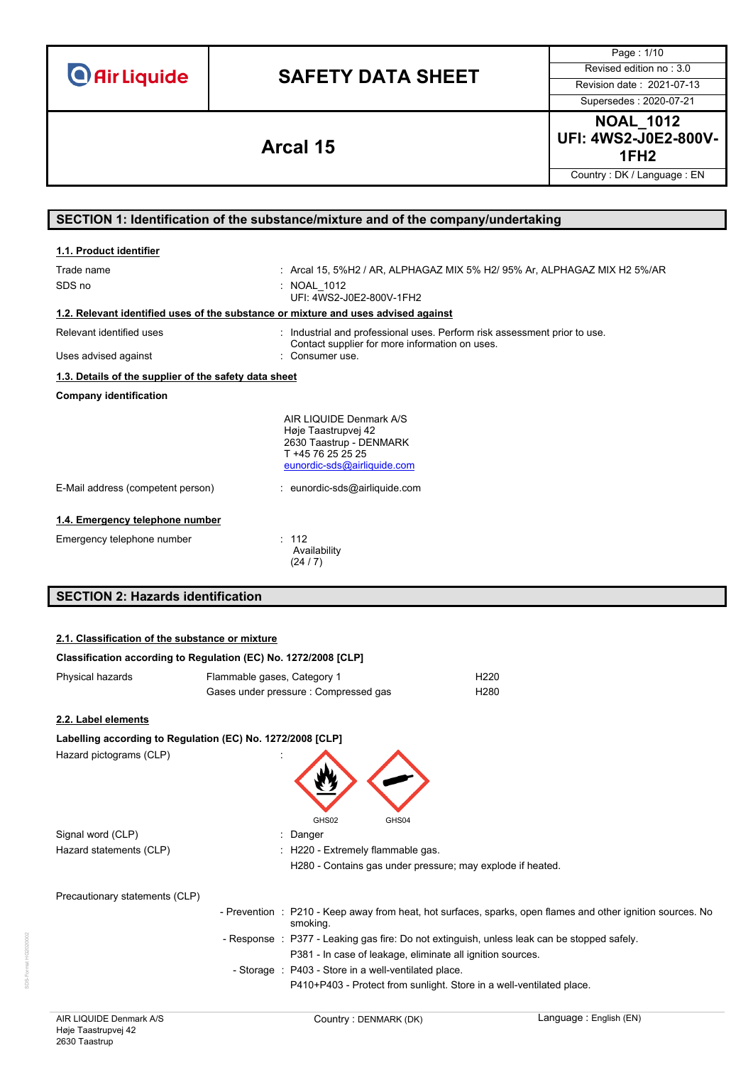**Air Liquide** 

# **SAFETY DATA SHEET** Revised edition no : 3.0

Page : 1/10 Supersedes : 2020-07-21

**NOAL\_1012 UFI: 4WS2-J0E2-800V-1FH2 Arcal 15**

Country : DK / Language : EN

# **SECTION 1: Identification of the substance/mixture and of the company/undertaking**

| 1.1. Product identifier                                                            |                                                                                                                               |
|------------------------------------------------------------------------------------|-------------------------------------------------------------------------------------------------------------------------------|
| Trade name<br>SDS no                                                               | : Arcal 15, 5%H2 / AR, ALPHAGAZ MIX 5% H2/ 95% Ar, ALPHAGAZ MIX H2 5%/AR<br>: NOAL 1012<br>UFI: 4WS2-J0E2-800V-1FH2           |
| 1.2. Relevant identified uses of the substance or mixture and uses advised against |                                                                                                                               |
| Relevant identified uses                                                           | : Industrial and professional uses. Perform risk assessment prior to use.<br>Contact supplier for more information on uses.   |
| Uses advised against                                                               | : Consumer use.                                                                                                               |
| 1.3. Details of the supplier of the safety data sheet                              |                                                                                                                               |
| <b>Company identification</b>                                                      |                                                                                                                               |
|                                                                                    | AIR LIQUIDE Denmark A/S<br>Høje Taastrupvej 42<br>2630 Taastrup - DENMARK<br>T +45 76 25 25 25<br>eunordic-sds@airliquide.com |
| E-Mail address (competent person)                                                  | : eunordic-sds@airliquide.com                                                                                                 |
| 1.4. Emergency telephone number<br>Emergency telephone number                      | : 112<br>Availability<br>(24/7)                                                                                               |
| <b>SECTION 2: Hazards identification</b>                                           |                                                                                                                               |

# **2.1. Classification of the substance or mixture**

| Classification according to Regulation (EC) No. 1272/2008 [CLP] |                                       |                  |  |
|-----------------------------------------------------------------|---------------------------------------|------------------|--|
| Physical hazards                                                | Flammable gases, Category 1           | H <sub>220</sub> |  |
|                                                                 | Gases under pressure : Compressed gas | H <sub>280</sub> |  |

## **2.2. Label elements**

| Labelling according to Regulation (EC) No. 1272/2008 [CLP] |                                                                                                                         |
|------------------------------------------------------------|-------------------------------------------------------------------------------------------------------------------------|
| Hazard pictograms (CLP)                                    |                                                                                                                         |
|                                                            | GHS02<br>GHS04                                                                                                          |
| Signal word (CLP)                                          | : Danger                                                                                                                |
| Hazard statements (CLP)                                    | : H220 - Extremely flammable gas.                                                                                       |
|                                                            | H280 - Contains gas under pressure; may explode if heated.                                                              |
| Precautionary statements (CLP)                             |                                                                                                                         |
|                                                            | - Prevention : P210 - Keep away from heat, hot surfaces, sparks, open flames and other ignition sources. No<br>smoking. |
|                                                            | - Response : P377 - Leaking gas fire: Do not extinguish, unless leak can be stopped safely.                             |
|                                                            | P381 - In case of leakage, eliminate all ignition sources.                                                              |
|                                                            | - Storage : P403 - Store in a well-ventilated place.                                                                    |
|                                                            | P410+P403 - Protect from sunlight. Store in a well-ventilated place.                                                    |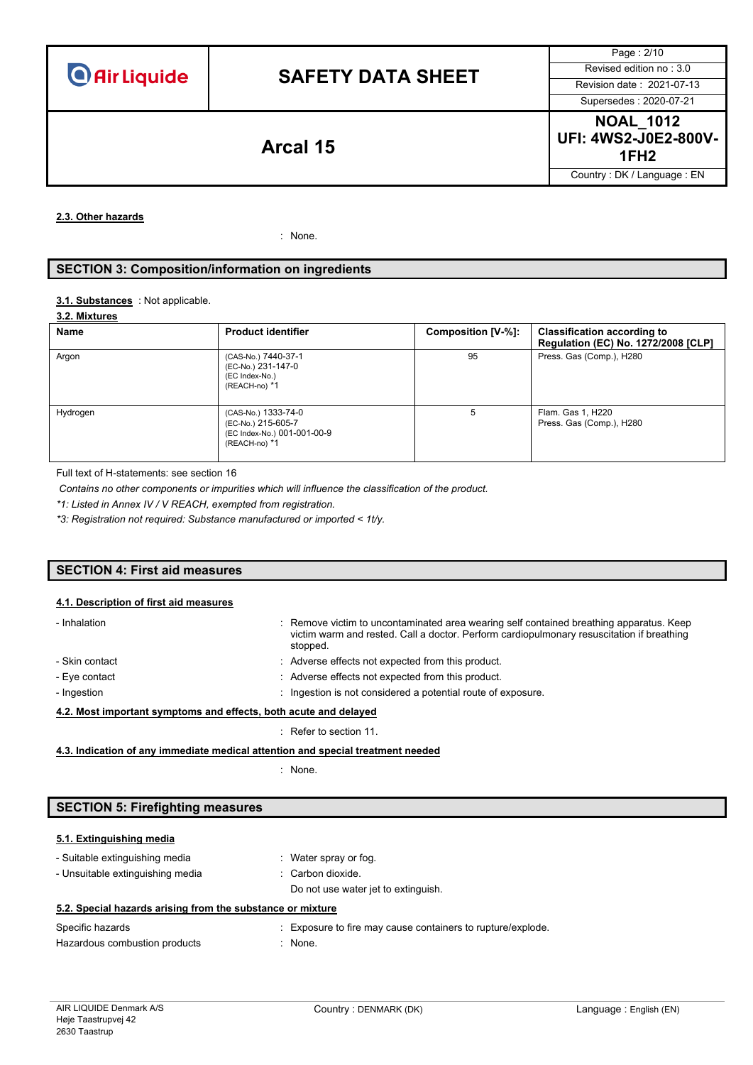# **SAFETY DATA SHEET** Revised edition no : 3.0

Page : 2/10 Supersedes : 2020-07-21

**NOAL\_1012 UFI: 4WS2-J0E2-800V-**Arcal 15 **1FH2 Arcal** 15

Country : DK / Language : EN

**2.3. Other hazards**

: None.

## **SECTION 3: Composition/information on ingredients**

## 3.1. **Substances** : Not applicable.

## **3.2. Mixtures**

| Name     | <b>Product identifier</b>                                                                 | Composition [V-%]: | <b>Classification according to</b><br>Regulation (EC) No. 1272/2008 [CLP] |
|----------|-------------------------------------------------------------------------------------------|--------------------|---------------------------------------------------------------------------|
| Argon    | (CAS-No.) 7440-37-1<br>(EC-No.) 231-147-0<br>(EC Index-No.)<br>(REACH-no) *1              | 95                 | Press. Gas (Comp.), H280                                                  |
| Hydrogen | (CAS-No.) 1333-74-0<br>(EC-No.) 215-605-7<br>(EC Index-No.) 001-001-00-9<br>(REACH-no) *1 | 5                  | Flam. Gas 1, H220<br>Press. Gas (Comp.), H280                             |

Full text of H-statements: see section 16

*Contains no other components or impurities which will influence the classification of the product.*

*\*1: Listed in Annex IV / V REACH, exempted from registration.*

*\*3: Registration not required: Substance manufactured or imported < 1t/y.*

# **SECTION 4: First aid measures**

## **4.1. Description of first aid measures**

| - Inhalation                                                     | : Remove victim to uncontaminated area wearing self contained breathing apparatus. Keep<br>victim warm and rested. Call a doctor. Perform cardiopulmonary resuscitation if breathing<br>stopped. |  |
|------------------------------------------------------------------|--------------------------------------------------------------------------------------------------------------------------------------------------------------------------------------------------|--|
| - Skin contact                                                   | : Adverse effects not expected from this product.                                                                                                                                                |  |
| - Eye contact                                                    | : Adverse effects not expected from this product.                                                                                                                                                |  |
| - Ingestion                                                      | : Ingestion is not considered a potential route of exposure.                                                                                                                                     |  |
| 4.2. Most important symptoms and effects, both acute and delayed |                                                                                                                                                                                                  |  |
|                                                                  | $\therefore$ Refer to section 11.                                                                                                                                                                |  |

**4.3. Indication of any immediate medical attention and special treatment needed**

: None.

## **SECTION 5: Firefighting measures**

# **5.1. Extinguishing media**

| $\sim$ $\sim$ $\sim$ $\sim$ $\sim$                         |                                     |
|------------------------------------------------------------|-------------------------------------|
| 5.2. Special hazards arising from the substance or mixture |                                     |
|                                                            | Do not use water jet to extinguish. |
| - Unsuitable extinguishing media                           | : Carbon dioxide.                   |
| - Suitable extinguishing media                             | : Water spray or fog.               |

Specific hazards **Specific hazards** : Exposure to fire may cause containers to rupture/explode. Hazardous combustion products : None.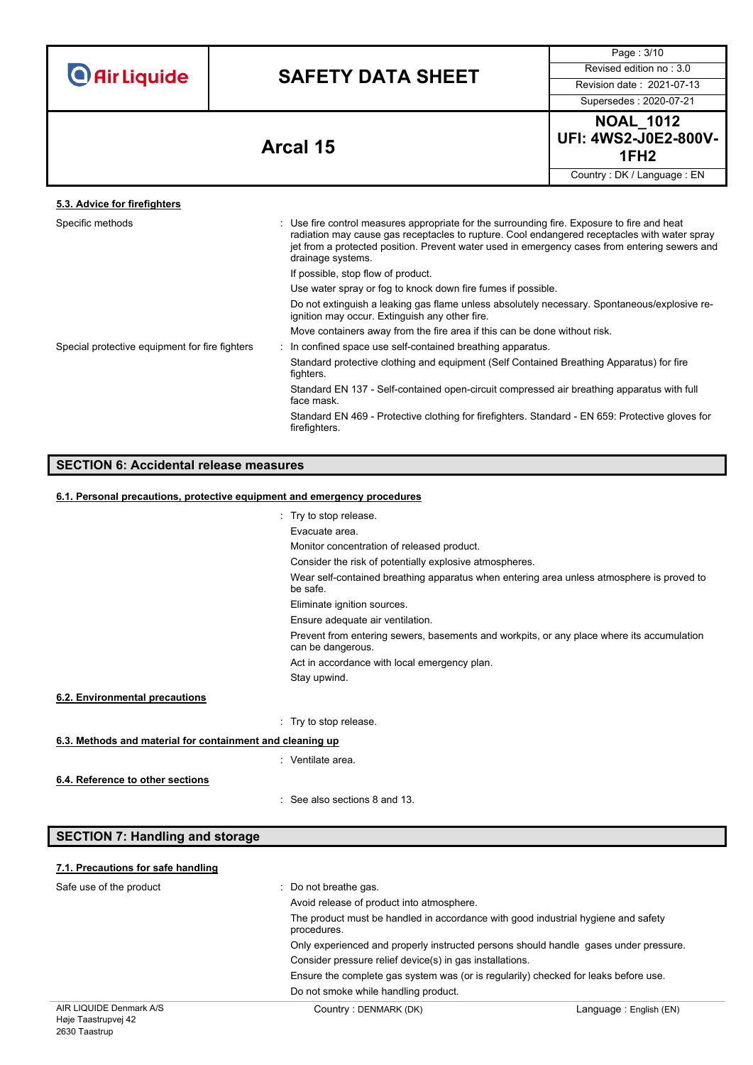| <b>O</b> Air Liquide |  |  |
|----------------------|--|--|
|                      |  |  |

# **SAFETY DATA SHEET** Revised edition no : 3.0

Page : 3/10

Supersedes : 2020-07-21

**NOAL\_1012 UFI: 4WS2-J0E2-800V-1FH2 Arcal 15** Country : DK / Language : EN

**5.3. Advice for firefighters** Specific methods : Use fire control measures appropriate for the surrounding fire. Exposure to fire and heat radiation may cause gas receptacles to rupture. Cool endangered receptacles with water spray jet from a protected position. Prevent water used in emergency cases from entering sewers and drainage systems. If possible, stop flow of product. Use water spray or fog to knock down fire fumes if possible. Do not extinguish a leaking gas flame unless absolutely necessary. Spontaneous/explosive reignition may occur. Extinguish any other fire. Move containers away from the fire area if this can be done without risk. Special protective equipment for fire fighters : In confined space use self-contained breathing apparatus. Standard protective clothing and equipment (Self Contained Breathing Apparatus) for fire fighters. Standard EN 137 - Self-contained open-circuit compressed air breathing apparatus with full face mask. Standard EN 469 - Protective clothing for firefighters. Standard - EN 659: Protective gloves for firefighters.

# **SECTION 6: Accidental release measures**

## **6.1. Personal precautions, protective equipment and emergency procedures**

|                                                           | : Try to stop release.                                                                                         |
|-----------------------------------------------------------|----------------------------------------------------------------------------------------------------------------|
|                                                           | Evacuate area.                                                                                                 |
|                                                           | Monitor concentration of released product.                                                                     |
|                                                           | Consider the risk of potentially explosive atmospheres.                                                        |
|                                                           | Wear self-contained breathing apparatus when entering area unless atmosphere is proved to<br>be safe.          |
|                                                           | Eliminate ignition sources.                                                                                    |
|                                                           | Ensure adequate air ventilation.                                                                               |
|                                                           | Prevent from entering sewers, basements and workpits, or any place where its accumulation<br>can be dangerous. |
|                                                           | Act in accordance with local emergency plan.                                                                   |
|                                                           | Stay upwind.                                                                                                   |
| 6.2. Environmental precautions                            |                                                                                                                |
|                                                           | : Try to stop release.                                                                                         |
| 6.3. Methods and material for containment and cleaning up |                                                                                                                |
|                                                           | : Ventilate area.                                                                                              |
| 6.4. Reference to other sections                          |                                                                                                                |
|                                                           | : See also sections 8 and 13.                                                                                  |
|                                                           |                                                                                                                |
| <b>SECTION 7: Handling and storage</b>                    |                                                                                                                |
|                                                           |                                                                                                                |
| 7.1. Precautions for safe handling                        |                                                                                                                |
|                                                           |                                                                                                                |

| Safe use of the product | : Do not breathe gas.                                                                            |                        |  |  |
|-------------------------|--------------------------------------------------------------------------------------------------|------------------------|--|--|
|                         | Avoid release of product into atmosphere.                                                        |                        |  |  |
|                         | The product must be handled in accordance with good industrial hygiene and safety<br>procedures. |                        |  |  |
|                         | Only experienced and properly instructed persons should handle gases under pressure.             |                        |  |  |
|                         | Consider pressure relief device(s) in gas installations.                                         |                        |  |  |
|                         | Ensure the complete gas system was (or is regularily) checked for leaks before use.              |                        |  |  |
|                         | Do not smoke while handling product.                                                             |                        |  |  |
| AIR LIQUIDE Denmark A/S | Country: DENMARK (DK)                                                                            | Language: English (EN) |  |  |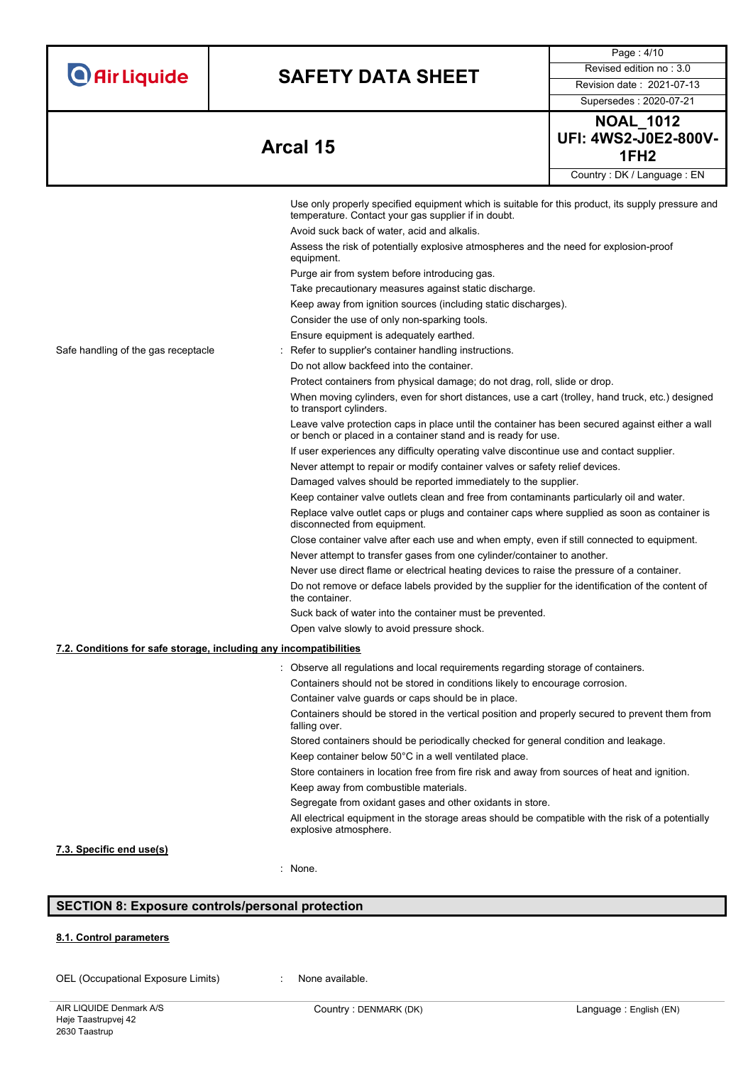| <b>O</b> Air Liquide |  |  |  |
|----------------------|--|--|--|
|                      |  |  |  |

# **SAFETY DATA SHEET** Revised edition no : 3.0

Supersedes : 2020-07-21

Page : 4/10

**Arcal 15** 

| <b>NOAL 1012</b>                         |  |
|------------------------------------------|--|
| UFI: 4WS2-J0E2-800V-<br>1FH <sub>2</sub> |  |
|                                          |  |
| Country: DK / Language: EN               |  |

|                                                                   | Use only properly specified equipment which is suitable for this product, its supply pressure and                                                                |
|-------------------------------------------------------------------|------------------------------------------------------------------------------------------------------------------------------------------------------------------|
|                                                                   | temperature. Contact your gas supplier if in doubt.                                                                                                              |
|                                                                   | Avoid suck back of water, acid and alkalis.                                                                                                                      |
|                                                                   | Assess the risk of potentially explosive atmospheres and the need for explosion-proof<br>equipment.                                                              |
|                                                                   | Purge air from system before introducing gas.                                                                                                                    |
|                                                                   | Take precautionary measures against static discharge.                                                                                                            |
|                                                                   | Keep away from ignition sources (including static discharges).                                                                                                   |
|                                                                   | Consider the use of only non-sparking tools.                                                                                                                     |
|                                                                   | Ensure equipment is adequately earthed.                                                                                                                          |
| Safe handling of the gas receptacle                               | Refer to supplier's container handling instructions.                                                                                                             |
|                                                                   | Do not allow backfeed into the container.                                                                                                                        |
|                                                                   | Protect containers from physical damage; do not drag, roll, slide or drop.                                                                                       |
|                                                                   | When moving cylinders, even for short distances, use a cart (trolley, hand truck, etc.) designed<br>to transport cylinders.                                      |
|                                                                   | Leave valve protection caps in place until the container has been secured against either a wall<br>or bench or placed in a container stand and is ready for use. |
|                                                                   | If user experiences any difficulty operating valve discontinue use and contact supplier.                                                                         |
|                                                                   | Never attempt to repair or modify container valves or safety relief devices.                                                                                     |
|                                                                   | Damaged valves should be reported immediately to the supplier.                                                                                                   |
|                                                                   | Keep container valve outlets clean and free from contaminants particularly oil and water.                                                                        |
|                                                                   | Replace valve outlet caps or plugs and container caps where supplied as soon as container is<br>disconnected from equipment.                                     |
|                                                                   | Close container valve after each use and when empty, even if still connected to equipment.                                                                       |
|                                                                   | Never attempt to transfer gases from one cylinder/container to another.                                                                                          |
|                                                                   | Never use direct flame or electrical heating devices to raise the pressure of a container.                                                                       |
|                                                                   | Do not remove or deface labels provided by the supplier for the identification of the content of<br>the container.                                               |
|                                                                   | Suck back of water into the container must be prevented.                                                                                                         |
|                                                                   | Open valve slowly to avoid pressure shock.                                                                                                                       |
| 7.2. Conditions for safe storage, including any incompatibilities |                                                                                                                                                                  |
|                                                                   | : Observe all regulations and local requirements regarding storage of containers.                                                                                |
|                                                                   | Containers should not be stored in conditions likely to encourage corrosion.                                                                                     |
|                                                                   | Container valve guards or caps should be in place.                                                                                                               |
|                                                                   | Containers should be stored in the vertical position and properly secured to prevent them from<br>falling over.                                                  |
|                                                                   | Stored containers should be periodically checked for general condition and leakage.                                                                              |
|                                                                   | Keep container below 50°C in a well ventilated place.                                                                                                            |
|                                                                   | Store containers in location free from fire risk and away from sources of heat and ignition.                                                                     |
|                                                                   | Keep away from combustible materials.                                                                                                                            |
|                                                                   | Segregate from oxidant gases and other oxidants in store.                                                                                                        |
|                                                                   | All electrical equipment in the storage areas should be compatible with the risk of a potentially<br>explosive atmosphere.                                       |
| 7.3. Specific end use(s)                                          |                                                                                                                                                                  |
|                                                                   | : None.                                                                                                                                                          |
|                                                                   |                                                                                                                                                                  |

# **SECTION 8: Exposure controls/personal protection**

## **8.1. Control parameters**

OEL (Occupational Exposure Limits) : None available.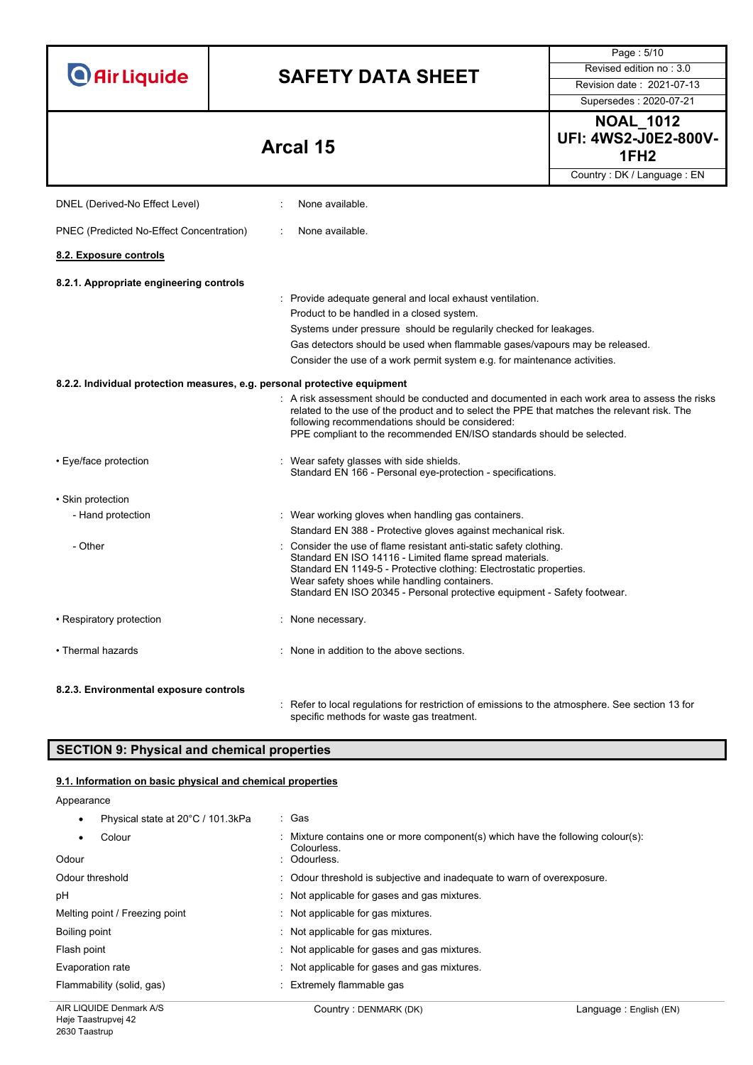|                                          |                                                                                                                                                | Page: 5/10                                                                 |  |  |
|------------------------------------------|------------------------------------------------------------------------------------------------------------------------------------------------|----------------------------------------------------------------------------|--|--|
| <b>O</b> Air Liquide                     | <b>SAFETY DATA SHEET</b>                                                                                                                       | Revised edition no: 3.0                                                    |  |  |
|                                          |                                                                                                                                                | Revision date: 2021-07-13                                                  |  |  |
|                                          |                                                                                                                                                | Supersedes: 2020-07-21                                                     |  |  |
|                                          |                                                                                                                                                | <b>NOAL_1012</b>                                                           |  |  |
|                                          |                                                                                                                                                | <b>UFI: 4WS2-J0E2-800V-</b>                                                |  |  |
|                                          | Arcal 15                                                                                                                                       | 1FH <sub>2</sub>                                                           |  |  |
|                                          |                                                                                                                                                | Country: DK / Language: EN                                                 |  |  |
|                                          |                                                                                                                                                |                                                                            |  |  |
| DNEL (Derived-No Effect Level)           | None available.                                                                                                                                |                                                                            |  |  |
| PNEC (Predicted No-Effect Concentration) | None available.                                                                                                                                |                                                                            |  |  |
| 8.2. Exposure controls                   |                                                                                                                                                |                                                                            |  |  |
| 8.2.1. Appropriate engineering controls  |                                                                                                                                                |                                                                            |  |  |
|                                          | : Provide adequate general and local exhaust ventilation.                                                                                      |                                                                            |  |  |
|                                          | Product to be handled in a closed system.                                                                                                      |                                                                            |  |  |
|                                          |                                                                                                                                                | Systems under pressure should be regularily checked for leakages.          |  |  |
|                                          |                                                                                                                                                | Gas detectors should be used when flammable gases/vapours may be released. |  |  |
|                                          | Consider the use of a work permit system e.g. for maintenance activities.                                                                      |                                                                            |  |  |
|                                          | 8.2.2. Individual protection measures, e.g. personal protective equipment                                                                      |                                                                            |  |  |
|                                          | $:$ A risk assessment should be conducted and documented in each work area to assess the risks                                                 |                                                                            |  |  |
|                                          | related to the use of the product and to select the PPE that matches the relevant risk. The<br>following recommendations should be considered: |                                                                            |  |  |
|                                          | PPE compliant to the recommended EN/ISO standards should be selected.                                                                          |                                                                            |  |  |
|                                          |                                                                                                                                                |                                                                            |  |  |
| • Eye/face protection                    | Wear safety glasses with side shields.<br>Standard EN 166 - Personal eye-protection - specifications.                                          |                                                                            |  |  |
|                                          |                                                                                                                                                |                                                                            |  |  |
| • Skin protection                        |                                                                                                                                                |                                                                            |  |  |
| - Hand protection                        | : Wear working gloves when handling gas containers.                                                                                            |                                                                            |  |  |
|                                          | Standard EN 388 - Protective gloves against mechanical risk.                                                                                   |                                                                            |  |  |
| - Other                                  | Consider the use of flame resistant anti-static safety clothing.                                                                               |                                                                            |  |  |
|                                          | Standard EN ISO 14116 - Limited flame spread materials.<br>Standard EN 1149-5 - Protective clothing: Electrostatic properties.                 |                                                                            |  |  |
|                                          | Wear safety shoes while handling containers.                                                                                                   |                                                                            |  |  |
|                                          | Standard EN ISO 20345 - Personal protective equipment - Safety footwear.                                                                       |                                                                            |  |  |
| • Respiratory protection                 | None necessary.                                                                                                                                |                                                                            |  |  |
| • Thermal hazards                        |                                                                                                                                                |                                                                            |  |  |
|                                          | None in addition to the above sections.                                                                                                        |                                                                            |  |  |
| 8.2.3. Environmental exposure controls   |                                                                                                                                                |                                                                            |  |  |
|                                          | : Refer to local regulations for restriction of emissions to the atmosphere. See section 13 for                                                |                                                                            |  |  |

# **SECTION 9: Physical and chemical properties**

# **9.1. Information on basic physical and chemical properties**

Appearance

| Physical state at 20°C / 101.3kPa | : Gas                                                                                                        |
|-----------------------------------|--------------------------------------------------------------------------------------------------------------|
| Colour<br>٠<br>Odour              | : Mixture contains one or more component(s) which have the following colour(s):<br>Colourless<br>: Odourless |
| Odour threshold                   | : Odour threshold is subjective and inadequate to warn of overexposure.                                      |
| рH                                | Not applicable for gases and gas mixtures.                                                                   |
| Melting point / Freezing point    | Not applicable for gas mixtures.                                                                             |
| Boiling point                     | Not applicable for gas mixtures.                                                                             |
| Flash point                       | : Not applicable for gases and gas mixtures.                                                                 |
| Evaporation rate                  | Not applicable for gases and gas mixtures.                                                                   |
| Flammability (solid, gas)         | : Extremely flammable gas                                                                                    |

specific methods for waste gas treatment.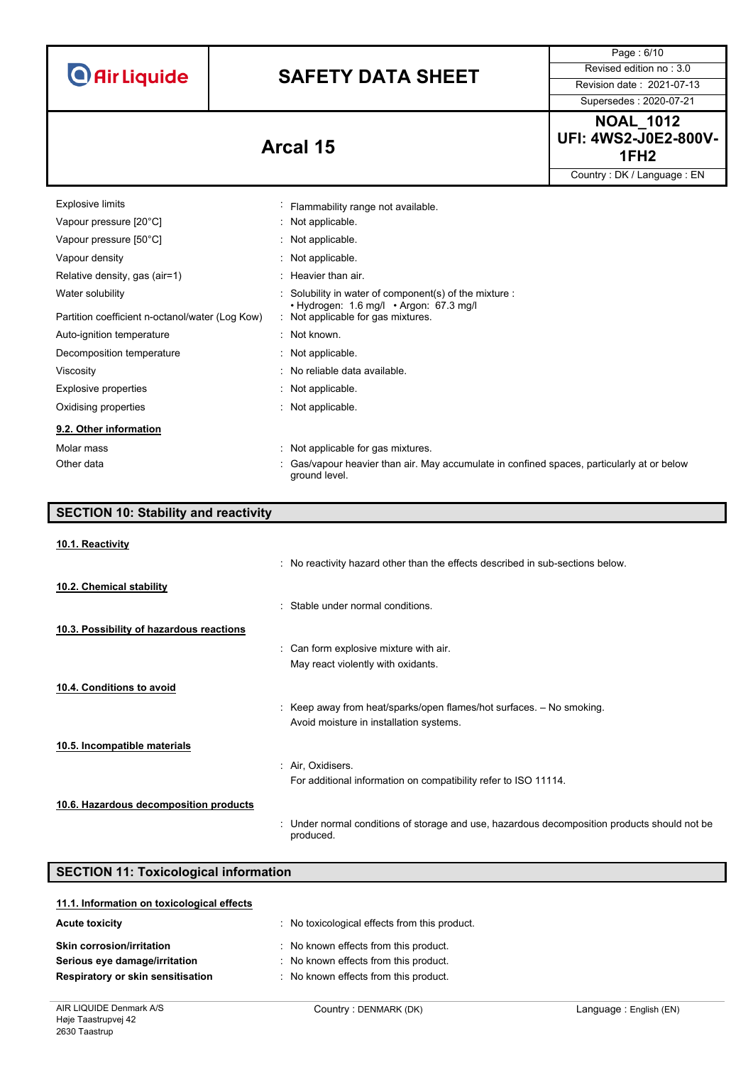**O** Air Liquide

# **SAFETY DATA SHEET** Revised edition no : 3.0

Supersedes : 2020-07-21

Page : 6/10

**NOAL\_1012 UFI: 4WS2-J0E2-800V-1FH2 Arcal 15 CONSUMPLERITY ARRANGEMENT MANUSCRIPTION** 

Country : DK / Language : EN

| Explosive limits                                | $\blacksquare$ | Flammability range not available.                                                                           |
|-------------------------------------------------|----------------|-------------------------------------------------------------------------------------------------------------|
| Vapour pressure [20°C]                          |                | : Not applicable.                                                                                           |
| Vapour pressure [50°C]                          |                | : Not applicable.                                                                                           |
| Vapour density                                  |                | : Not applicable.                                                                                           |
| Relative density, gas (air=1)                   |                | $:$ Heavier than air.                                                                                       |
| Water solubility                                |                | Solubility in water of component(s) of the mixture :<br>$\cdot$ Hydrogen: 1.6 mg/l $\cdot$ Argon: 67.3 mg/l |
| Partition coefficient n-octanol/water (Log Kow) |                | : Not applicable for gas mixtures.                                                                          |
| Auto-ignition temperature                       |                | $:$ Not known.                                                                                              |
| Decomposition temperature                       |                | $:$ Not applicable.                                                                                         |
| Viscosity                                       |                | : No reliable data available.                                                                               |
| Explosive properties                            |                | : Not applicable.                                                                                           |
| Oxidising properties                            |                | : Not applicable.                                                                                           |
| 9.2. Other information                          |                |                                                                                                             |
| Molar mass                                      |                | : Not applicable for gas mixtures.                                                                          |
| Other data                                      |                | Gas/vapour heavier than air. May accumulate in confined spaces, particularly at or below<br>ground level.   |

| <b>SECTION 10: Stability and reactivity</b> |                                                                                                         |
|---------------------------------------------|---------------------------------------------------------------------------------------------------------|
| 10.1. Reactivity                            |                                                                                                         |
|                                             | : No reactivity hazard other than the effects described in sub-sections below.                          |
| 10.2. Chemical stability                    |                                                                                                         |
|                                             | : Stable under normal conditions.                                                                       |
| 10.3. Possibility of hazardous reactions    |                                                                                                         |
|                                             | : Can form explosive mixture with air.                                                                  |
|                                             | May react violently with oxidants.                                                                      |
| 10.4. Conditions to avoid                   |                                                                                                         |
|                                             | : Keep away from heat/sparks/open flames/hot surfaces. $-$ No smoking.                                  |
|                                             | Avoid moisture in installation systems.                                                                 |
| 10.5. Incompatible materials                |                                                                                                         |
|                                             | : Air, Oxidisers.                                                                                       |
|                                             | For additional information on compatibility refer to ISO 11114.                                         |
| 10.6. Hazardous decomposition products      |                                                                                                         |
|                                             | Under normal conditions of storage and use, hazardous decomposition products should not be<br>produced. |

| <b>SECTION 11: Toxicological information</b> |                                             |  |
|----------------------------------------------|---------------------------------------------|--|
| 11.1. Information on toxicological effects   |                                             |  |
| <b>Acute toxicity</b>                        | No toxicological effects from this product. |  |
| <b>Skin corrosion/irritation</b>             | No known effects from this product.         |  |
| Serious eye damage/irritation                | No known effects from this product.         |  |
| <b>Respiratory or skin sensitisation</b>     | No known effects from this product.         |  |
|                                              |                                             |  |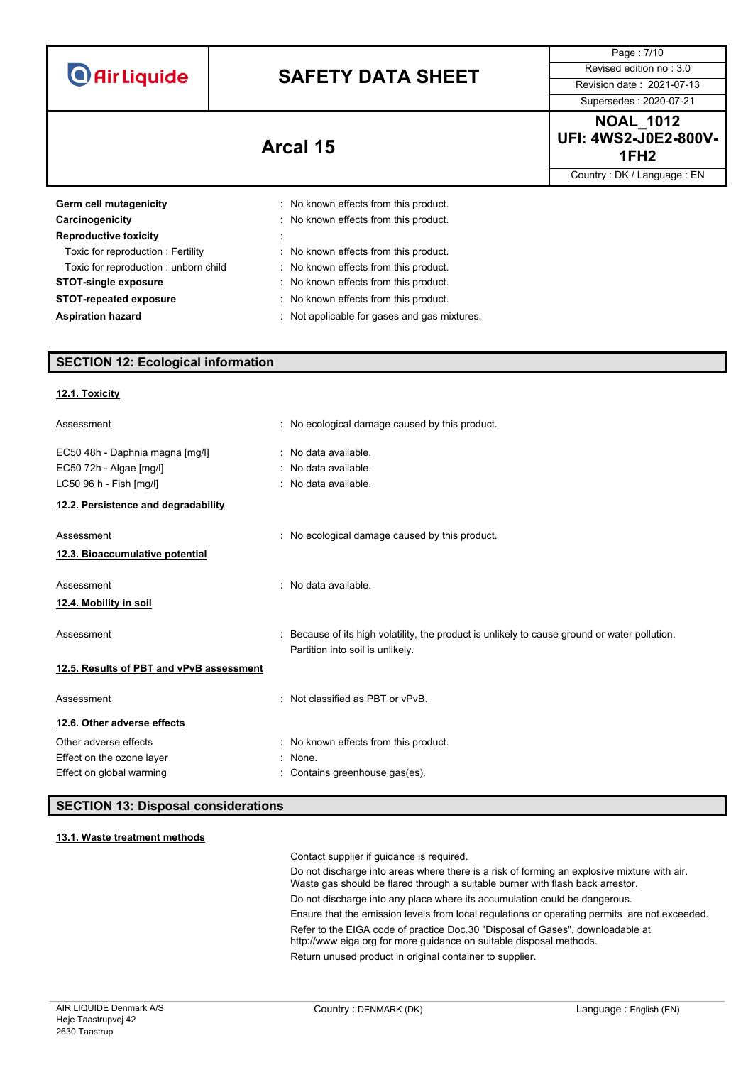|                                           |                                                                                | Page: 7/10                                                          |
|-------------------------------------------|--------------------------------------------------------------------------------|---------------------------------------------------------------------|
| <b>O</b> Air Liquide                      | <b>SAFETY DATA SHEET</b>                                                       | Revised edition no: 3.0                                             |
|                                           |                                                                                | Revision date: 2021-07-13                                           |
|                                           |                                                                                | Supersedes: 2020-07-21                                              |
|                                           | Arcal 15                                                                       | <b>NOAL 1012</b><br><b>UFI: 4WS2-J0E2-800V-</b><br>1FH <sub>2</sub> |
|                                           |                                                                                | Country: DK / Language: EN                                          |
| Germ cell mutagenicity<br>Carcinogenicity | : No known effects from this product.<br>: No known effects from this product. |                                                                     |
| <b>Reproductive toxicity</b>              |                                                                                |                                                                     |
| Toxic for reproduction: Fertility         | : No known effects from this product.                                          |                                                                     |
| Toxic for reproduction: unborn child      | : No known effects from this product.                                          |                                                                     |
| <b>STOT-single exposure</b>               | : No known effects from this product.                                          |                                                                     |
| <b>STOT-repeated exposure</b>             | : No known effects from this product.                                          |                                                                     |
| <b>Aspiration hazard</b>                  | : Not applicable for gases and gas mixtures.                                   |                                                                     |
|                                           |                                                                                |                                                                     |

# **SECTION 12: Ecological information**

| 12.1. Toxicity                           |                                                                                               |
|------------------------------------------|-----------------------------------------------------------------------------------------------|
| Assessment                               | : No ecological damage caused by this product.                                                |
| EC50 48h - Daphnia magna [mg/l]          | : No data available.                                                                          |
| EC50 72h - Algae [mg/l]                  | : No data available.                                                                          |
| LC50 96 h - Fish [mg/l]                  | : No data available.                                                                          |
| 12.2. Persistence and degradability      |                                                                                               |
| Assessment                               | : No ecological damage caused by this product.                                                |
| 12.3. Bioaccumulative potential          |                                                                                               |
| Assessment                               | : No data available.                                                                          |
| 12.4. Mobility in soil                   |                                                                                               |
| Assessment                               | : Because of its high volatility, the product is unlikely to cause ground or water pollution. |
|                                          | Partition into soil is unlikely.                                                              |
| 12.5. Results of PBT and vPvB assessment |                                                                                               |
| Assessment                               | : Not classified as PBT or vPvB.                                                              |
| 12.6. Other adverse effects              |                                                                                               |
| Other adverse effects                    | : No known effects from this product.                                                         |
| Effect on the ozone layer                | : None.                                                                                       |
| Effect on global warming                 | Contains greenhouse gas(es).                                                                  |

# **SECTION 13: Disposal considerations**

# **13.1. Waste treatment methods**

Contact supplier if guidance is required.

Do not discharge into areas where there is a risk of forming an explosive mixture with air. Waste gas should be flared through a suitable burner with flash back arrestor. Do not discharge into any place where its accumulation could be dangerous. Ensure that the emission levels from local regulations or operating permits are not exceeded. Refer to the EIGA code of practice Doc.30 "Disposal of Gases", downloadable at http://www.eiga.org for more guidance on suitable disposal methods.

Return unused product in original container to supplier.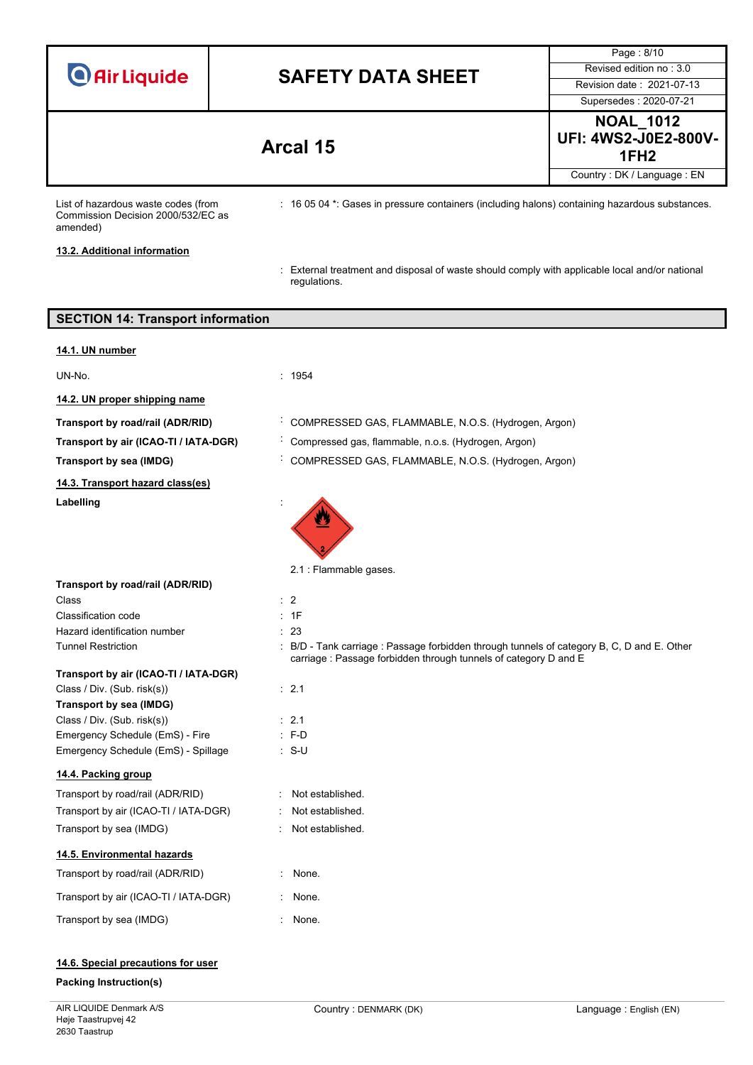|                                                                                       |   |                                                                                                                                                               | Page: 8/10                                                          |
|---------------------------------------------------------------------------------------|---|---------------------------------------------------------------------------------------------------------------------------------------------------------------|---------------------------------------------------------------------|
| <b>O</b> Air Liquide                                                                  |   | <b>SAFETY DATA SHEET</b>                                                                                                                                      | Revised edition no: 3.0                                             |
|                                                                                       |   |                                                                                                                                                               | Revision date: 2021-07-13                                           |
|                                                                                       |   |                                                                                                                                                               | Supersedes: 2020-07-21                                              |
|                                                                                       |   | Arcal 15                                                                                                                                                      | <b>NOAL 1012</b><br><b>UFI: 4WS2-J0E2-800V-</b><br>1FH <sub>2</sub> |
|                                                                                       |   |                                                                                                                                                               | Country: DK / Language: EN                                          |
| List of hazardous waste codes (from<br>Commission Decision 2000/532/EC as<br>amended) |   | : 16 05 04 *: Gases in pressure containers (including halons) containing hazardous substances.                                                                |                                                                     |
| 13.2. Additional information                                                          |   |                                                                                                                                                               |                                                                     |
|                                                                                       |   | : External treatment and disposal of waste should comply with applicable local and/or national<br>regulations.                                                |                                                                     |
| <b>SECTION 14: Transport information</b>                                              |   |                                                                                                                                                               |                                                                     |
|                                                                                       |   |                                                                                                                                                               |                                                                     |
| 14.1. UN number                                                                       |   |                                                                                                                                                               |                                                                     |
| UN-No.                                                                                |   | : 1954                                                                                                                                                        |                                                                     |
| 14.2. UN proper shipping name                                                         |   |                                                                                                                                                               |                                                                     |
| Transport by road/rail (ADR/RID)                                                      |   | COMPRESSED GAS, FLAMMABLE, N.O.S. (Hydrogen, Argon)                                                                                                           |                                                                     |
| Transport by air (ICAO-TI / IATA-DGR)                                                 |   | Compressed gas, flammable, n.o.s. (Hydrogen, Argon)                                                                                                           |                                                                     |
| Transport by sea (IMDG)                                                               |   | COMPRESSED GAS, FLAMMABLE, N.O.S. (Hydrogen, Argon)                                                                                                           |                                                                     |
| 14.3. Transport hazard class(es)                                                      |   |                                                                                                                                                               |                                                                     |
| Labelling                                                                             |   |                                                                                                                                                               |                                                                     |
| Transport by road/rail (ADR/RID)                                                      |   | 2.1 : Flammable gases.                                                                                                                                        |                                                                     |
| Class                                                                                 |   | $\therefore$ 2                                                                                                                                                |                                                                     |
| Classification code                                                                   |   | : 1F                                                                                                                                                          |                                                                     |
| Hazard identification number                                                          |   | : 23                                                                                                                                                          |                                                                     |
| <b>Tunnel Restriction</b>                                                             |   | : B/D - Tank carriage : Passage forbidden through tunnels of category B, C, D and E. Other<br>carriage: Passage forbidden through tunnels of category D and E |                                                                     |
| Transport by air (ICAO-TI / IATA-DGR)                                                 |   |                                                                                                                                                               |                                                                     |
| Class / Div. (Sub. risk(s))                                                           |   | : 2.1                                                                                                                                                         |                                                                     |
| Transport by sea (IMDG)<br>Class / Div. (Sub. risk(s))                                |   | $\therefore$ 2.1                                                                                                                                              |                                                                     |
| Emergency Schedule (EmS) - Fire                                                       |   | $: F-D$                                                                                                                                                       |                                                                     |
| Emergency Schedule (EmS) - Spillage                                                   |   | $: S-U$                                                                                                                                                       |                                                                     |
| 14.4. Packing group                                                                   |   |                                                                                                                                                               |                                                                     |
| Transport by road/rail (ADR/RID)                                                      |   | Not established.                                                                                                                                              |                                                                     |
| Transport by air (ICAO-TI / IATA-DGR)                                                 |   | Not established.                                                                                                                                              |                                                                     |
| Transport by sea (IMDG)                                                               | ÷ | Not established.                                                                                                                                              |                                                                     |
| 14.5. Environmental hazards                                                           |   |                                                                                                                                                               |                                                                     |
| Transport by road/rail (ADR/RID)                                                      |   | : None.                                                                                                                                                       |                                                                     |
| Transport by air (ICAO-TI / IATA-DGR)                                                 |   | None.                                                                                                                                                         |                                                                     |
| Transport by sea (IMDG)                                                               |   | : None.                                                                                                                                                       |                                                                     |
|                                                                                       |   |                                                                                                                                                               |                                                                     |

# **14.6. Special precautions for user**

# **Packing Instruction(s)**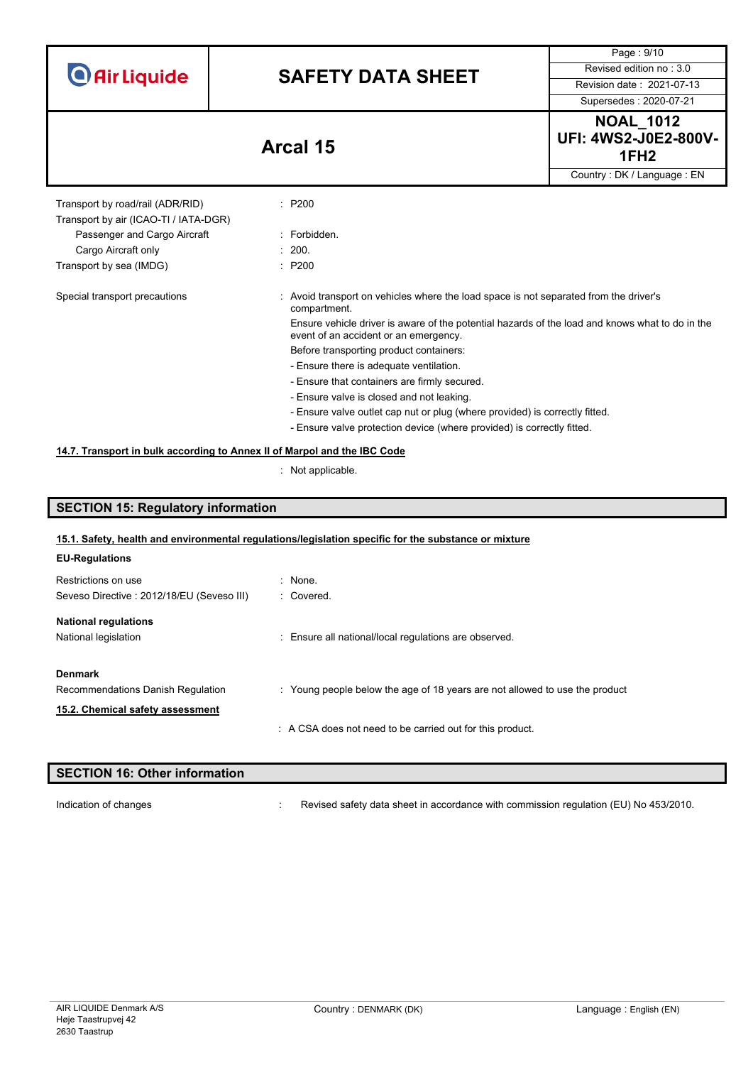**O** Air Liquide

# **SAFETY DATA SHEET** Revised edition no : 3.0

Page : 9/10

Supersedes : 2020-07-21

**NOAL\_1012 UFI: 4WS2-J0E2-800V-1FH2 Arcal 15**  $\overline{\mathsf{uage} : \mathsf{EN}}$ 

|                                                                           |                                                                                                                                          | Country: DK / Language: EN |
|---------------------------------------------------------------------------|------------------------------------------------------------------------------------------------------------------------------------------|----------------------------|
| Transport by road/rail (ADR/RID)<br>Transport by air (ICAO-TI / IATA-DGR) | : P200                                                                                                                                   |                            |
| Passenger and Cargo Aircraft                                              | : Forbidden.                                                                                                                             |                            |
| Cargo Aircraft only                                                       | : 200.                                                                                                                                   |                            |
| Transport by sea (IMDG)                                                   | : P200                                                                                                                                   |                            |
| Special transport precautions                                             | Avoid transport on vehicles where the load space is not separated from the driver's<br>compartment.                                      |                            |
|                                                                           | Ensure vehicle driver is aware of the potential hazards of the load and knows what to do in the<br>event of an accident or an emergency. |                            |
|                                                                           | Before transporting product containers:                                                                                                  |                            |
|                                                                           | - Ensure there is adequate ventilation.                                                                                                  |                            |
|                                                                           | - Ensure that containers are firmly secured.                                                                                             |                            |
|                                                                           | - Ensure valve is closed and not leaking.                                                                                                |                            |
|                                                                           | - Ensure valve outlet cap nut or plug (where provided) is correctly fitted.                                                              |                            |
|                                                                           | - Ensure valve protection device (where provided) is correctly fitted.                                                                   |                            |
| 14.7. Transport in bulk according to Annex II of Marpol and the IBC Code  |                                                                                                                                          |                            |
|                                                                           | $\therefore$ Not applicable.                                                                                                             |                            |
|                                                                           |                                                                                                                                          |                            |

# **SECTION 15: Regulatory information**

## **15.1. Safety, health and environmental regulations/legislation specific for the substance or mixture**

| <b>EU-Regulations</b>                                                                   |                                                                             |
|-----------------------------------------------------------------------------------------|-----------------------------------------------------------------------------|
| Restrictions on use<br>Seveso Directive: 2012/18/EU (Seveso III)                        | : None.<br>: Covered.                                                       |
| <b>National regulations</b><br>National legislation                                     | : Ensure all national/local regulations are observed.                       |
| <b>Denmark</b><br>Recommendations Danish Regulation<br>15.2. Chemical safety assessment | : Young people below the age of 18 years are not allowed to use the product |
|                                                                                         | : A CSA does not need to be carried out for this product.                   |

# **SECTION 16: Other information**

Indication of changes **interpret of the Commission of changes** in accordance with commission regulation (EU) No 453/2010.